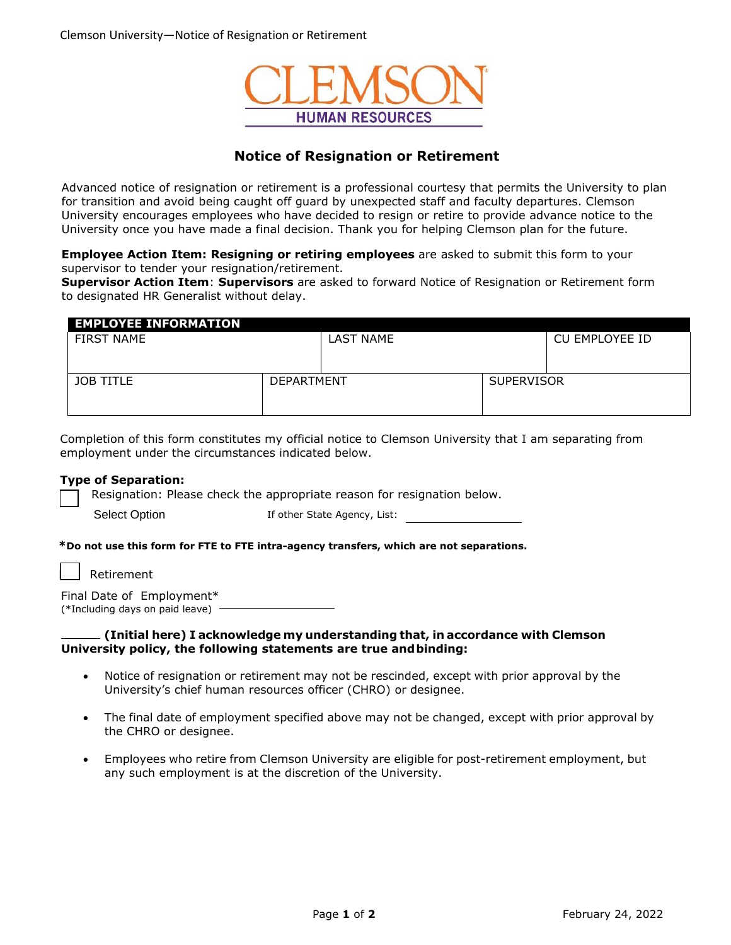

# **Notice of Resignation or Retirement**

Advanced notice of resignation or retirement is a professional courtesy that permits the University to plan for transition and avoid being caught off guard by unexpected staff and faculty departures. Clemson University encourages employees who have decided to resign or retire to provide advance notice to the University once you have made a final decision. Thank you for helping Clemson plan for the future.

**Employee Action Item: Resigning or retiring employees** are asked to submit this form to your supervisor to tender your resignation/retirement.

**Supervisor Action Item**: **Supervisors** are asked to forward Notice of Resignation or Retirement form to designated HR Generalist without delay.

| <b>EMPLOYEE INFORMATION</b> |                   |           |                   |                |
|-----------------------------|-------------------|-----------|-------------------|----------------|
| <b>FIRST NAME</b>           |                   | LAST NAME |                   | CU EMPLOYEE ID |
|                             |                   |           |                   |                |
|                             |                   |           |                   |                |
| <b>JOB TITLE</b>            | <b>DEPARTMENT</b> |           | <b>SUPERVISOR</b> |                |
|                             |                   |           |                   |                |
|                             |                   |           |                   |                |

Completion of this form constitutes my official notice to Clemson University that I am separating from employment under the circumstances indicated below.

# **Type of Separation:**

Resignation: Please check the appropriate reason for resignation below.

| <b>Select Option</b> |  |  |
|----------------------|--|--|
|                      |  |  |

If other State Agency, List:

# **\*Do not use this form for FTE to FTE intra-agency transfers, which are not separations.**

**Retirement** 

|                                 | Final Date of Employment* |
|---------------------------------|---------------------------|
| (*Including days on paid leave) |                           |

# **(Initial here) I acknowledge my understanding that, in accordance with Clemson University policy, the following statements are true andbinding:**

- Notice of resignation or retirement may not be rescinded, except with prior approval by the University's chief human resources officer (CHRO) or designee.
- The final date of employment specified above may not be changed, except with prior approval by the CHRO or designee.
- Employees who retire from Clemson University are eligible for post-retirement employment, but any such employment is at the discretion of the University.